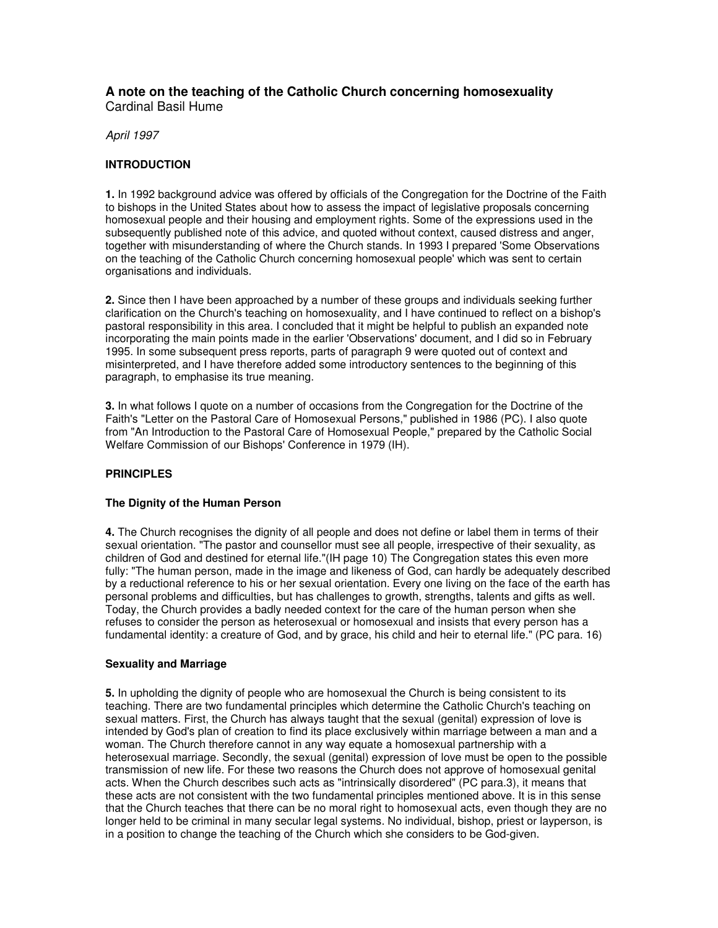# **A note on the teaching of the Catholic Church concerning homosexuality**  Cardinal Basil Hume

April 1997

## **INTRODUCTION**

**1.** In 1992 background advice was offered by officials of the Congregation for the Doctrine of the Faith to bishops in the United States about how to assess the impact of legislative proposals concerning homosexual people and their housing and employment rights. Some of the expressions used in the subsequently published note of this advice, and quoted without context, caused distress and anger, together with misunderstanding of where the Church stands. In 1993 I prepared 'Some Observations on the teaching of the Catholic Church concerning homosexual people' which was sent to certain organisations and individuals.

**2.** Since then I have been approached by a number of these groups and individuals seeking further clarification on the Church's teaching on homosexuality, and I have continued to reflect on a bishop's pastoral responsibility in this area. I concluded that it might be helpful to publish an expanded note incorporating the main points made in the earlier 'Observations' document, and I did so in February 1995. In some subsequent press reports, parts of paragraph 9 were quoted out of context and misinterpreted, and I have therefore added some introductory sentences to the beginning of this paragraph, to emphasise its true meaning.

**3.** In what follows I quote on a number of occasions from the Congregation for the Doctrine of the Faith's "Letter on the Pastoral Care of Homosexual Persons," published in 1986 (PC). I also quote from "An Introduction to the Pastoral Care of Homosexual People," prepared by the Catholic Social Welfare Commission of our Bishops' Conference in 1979 (IH).

# **PRINCIPLES**

### **The Dignity of the Human Person**

**4.** The Church recognises the dignity of all people and does not define or label them in terms of their sexual orientation. "The pastor and counsellor must see all people, irrespective of their sexuality, as children of God and destined for eternal life."(IH page 10) The Congregation states this even more fully: "The human person, made in the image and likeness of God, can hardly be adequately described by a reductional reference to his or her sexual orientation. Every one living on the face of the earth has personal problems and difficulties, but has challenges to growth, strengths, talents and gifts as well. Today, the Church provides a badly needed context for the care of the human person when she refuses to consider the person as heterosexual or homosexual and insists that every person has a fundamental identity: a creature of God, and by grace, his child and heir to eternal life." (PC para. 16)

### **Sexuality and Marriage**

**5.** In upholding the dignity of people who are homosexual the Church is being consistent to its teaching. There are two fundamental principles which determine the Catholic Church's teaching on sexual matters. First, the Church has always taught that the sexual (genital) expression of love is intended by God's plan of creation to find its place exclusively within marriage between a man and a woman. The Church therefore cannot in any way equate a homosexual partnership with a heterosexual marriage. Secondly, the sexual (genital) expression of love must be open to the possible transmission of new life. For these two reasons the Church does not approve of homosexual genital acts. When the Church describes such acts as "intrinsically disordered" (PC para.3), it means that these acts are not consistent with the two fundamental principles mentioned above. It is in this sense that the Church teaches that there can be no moral right to homosexual acts, even though they are no longer held to be criminal in many secular legal systems. No individual, bishop, priest or layperson, is in a position to change the teaching of the Church which she considers to be God-given.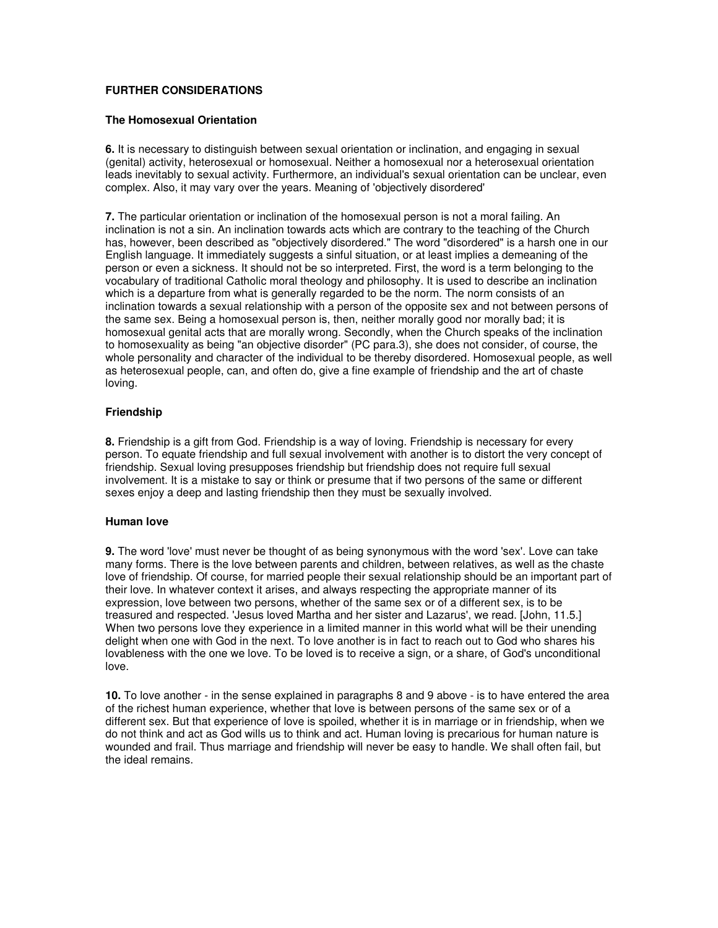## **FURTHER CONSIDERATIONS**

#### **The Homosexual Orientation**

**6.** It is necessary to distinguish between sexual orientation or inclination, and engaging in sexual (genital) activity, heterosexual or homosexual. Neither a homosexual nor a heterosexual orientation leads inevitably to sexual activity. Furthermore, an individual's sexual orientation can be unclear, even complex. Also, it may vary over the years. Meaning of 'objectively disordered'

**7.** The particular orientation or inclination of the homosexual person is not a moral failing. An inclination is not a sin. An inclination towards acts which are contrary to the teaching of the Church has, however, been described as "objectively disordered." The word "disordered" is a harsh one in our English language. It immediately suggests a sinful situation, or at least implies a demeaning of the person or even a sickness. It should not be so interpreted. First, the word is a term belonging to the vocabulary of traditional Catholic moral theology and philosophy. It is used to describe an inclination which is a departure from what is generally regarded to be the norm. The norm consists of an inclination towards a sexual relationship with a person of the opposite sex and not between persons of the same sex. Being a homosexual person is, then, neither morally good nor morally bad; it is homosexual genital acts that are morally wrong. Secondly, when the Church speaks of the inclination to homosexuality as being "an objective disorder" (PC para.3), she does not consider, of course, the whole personality and character of the individual to be thereby disordered. Homosexual people, as well as heterosexual people, can, and often do, give a fine example of friendship and the art of chaste loving.

### **Friendship**

**8.** Friendship is a gift from God. Friendship is a way of loving. Friendship is necessary for every person. To equate friendship and full sexual involvement with another is to distort the very concept of friendship. Sexual loving presupposes friendship but friendship does not require full sexual involvement. It is a mistake to say or think or presume that if two persons of the same or different sexes enjoy a deep and lasting friendship then they must be sexually involved.

#### **Human love**

**9.** The word 'love' must never be thought of as being synonymous with the word 'sex'. Love can take many forms. There is the love between parents and children, between relatives, as well as the chaste love of friendship. Of course, for married people their sexual relationship should be an important part of their love. In whatever context it arises, and always respecting the appropriate manner of its expression, love between two persons, whether of the same sex or of a different sex, is to be treasured and respected. 'Jesus loved Martha and her sister and Lazarus', we read. [John, 11.5.] When two persons love they experience in a limited manner in this world what will be their unending delight when one with God in the next. To love another is in fact to reach out to God who shares his lovableness with the one we love. To be loved is to receive a sign, or a share, of God's unconditional love.

**10.** To love another - in the sense explained in paragraphs 8 and 9 above - is to have entered the area of the richest human experience, whether that love is between persons of the same sex or of a different sex. But that experience of love is spoiled, whether it is in marriage or in friendship, when we do not think and act as God wills us to think and act. Human loving is precarious for human nature is wounded and frail. Thus marriage and friendship will never be easy to handle. We shall often fail, but the ideal remains.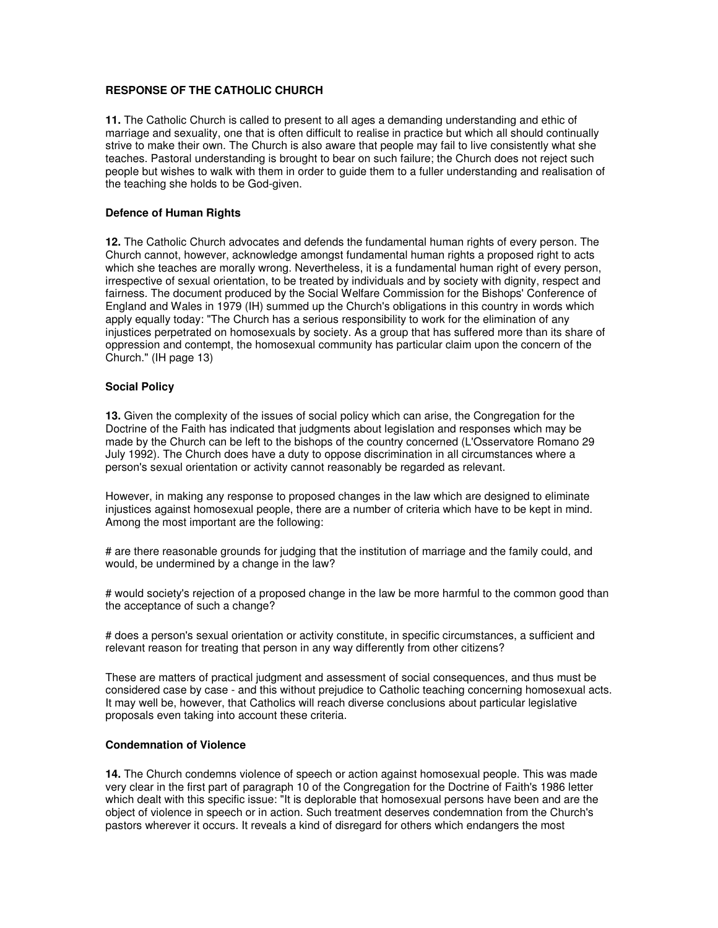### **RESPONSE OF THE CATHOLIC CHURCH**

**11.** The Catholic Church is called to present to all ages a demanding understanding and ethic of marriage and sexuality, one that is often difficult to realise in practice but which all should continually strive to make their own. The Church is also aware that people may fail to live consistently what she teaches. Pastoral understanding is brought to bear on such failure; the Church does not reject such people but wishes to walk with them in order to guide them to a fuller understanding and realisation of the teaching she holds to be God-given.

### **Defence of Human Rights**

**12.** The Catholic Church advocates and defends the fundamental human rights of every person. The Church cannot, however, acknowledge amongst fundamental human rights a proposed right to acts which she teaches are morally wrong. Nevertheless, it is a fundamental human right of every person, irrespective of sexual orientation, to be treated by individuals and by society with dignity, respect and fairness. The document produced by the Social Welfare Commission for the Bishops' Conference of England and Wales in 1979 (IH) summed up the Church's obligations in this country in words which apply equally today: "The Church has a serious responsibility to work for the elimination of any injustices perpetrated on homosexuals by society. As a group that has suffered more than its share of oppression and contempt, the homosexual community has particular claim upon the concern of the Church." (IH page 13)

#### **Social Policy**

**13.** Given the complexity of the issues of social policy which can arise, the Congregation for the Doctrine of the Faith has indicated that judgments about legislation and responses which may be made by the Church can be left to the bishops of the country concerned (L'Osservatore Romano 29 July 1992). The Church does have a duty to oppose discrimination in all circumstances where a person's sexual orientation or activity cannot reasonably be regarded as relevant.

However, in making any response to proposed changes in the law which are designed to eliminate injustices against homosexual people, there are a number of criteria which have to be kept in mind. Among the most important are the following:

# are there reasonable grounds for judging that the institution of marriage and the family could, and would, be undermined by a change in the law?

# would society's rejection of a proposed change in the law be more harmful to the common good than the acceptance of such a change?

# does a person's sexual orientation or activity constitute, in specific circumstances, a sufficient and relevant reason for treating that person in any way differently from other citizens?

These are matters of practical judgment and assessment of social consequences, and thus must be considered case by case - and this without prejudice to Catholic teaching concerning homosexual acts. It may well be, however, that Catholics will reach diverse conclusions about particular legislative proposals even taking into account these criteria.

#### **Condemnation of Violence**

**14.** The Church condemns violence of speech or action against homosexual people. This was made very clear in the first part of paragraph 10 of the Congregation for the Doctrine of Faith's 1986 letter which dealt with this specific issue: "It is deplorable that homosexual persons have been and are the object of violence in speech or in action. Such treatment deserves condemnation from the Church's pastors wherever it occurs. It reveals a kind of disregard for others which endangers the most